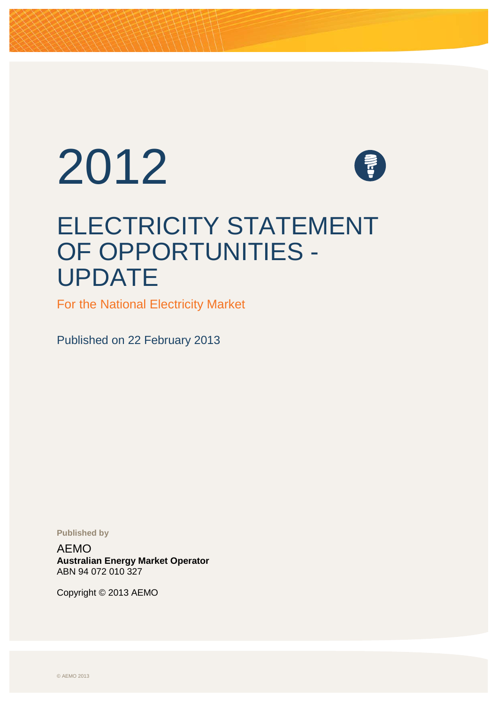# 2012



# ELECTRICITY STATEMENT OF OPPORTUNITIES - UPDATE

For the National Electricity Market

Published on 22 February 2013

**Published by**

AEMO **Australian Energy Market Operator** ABN 94 072 010 327

<span id="page-0-0"></span>Copyright © 2013 AEMO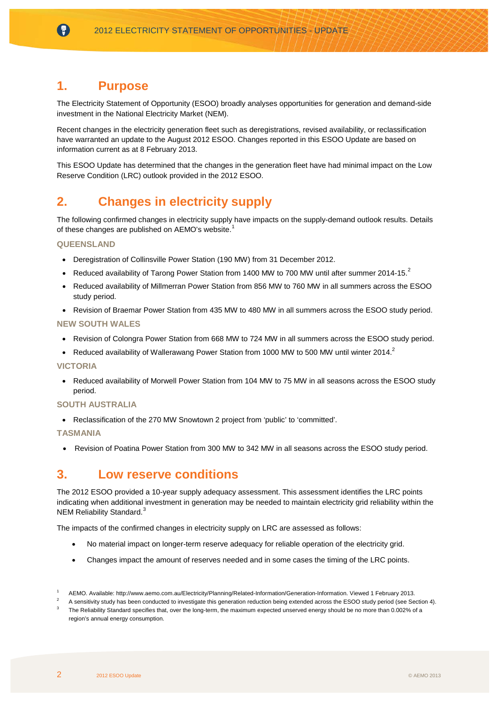### **1. Purpose**

(?)

The Electricity Statement of Opportunity (ESOO) broadly analyses opportunities for generation and demand-side investment in the National Electricity Market (NEM).

Recent changes in the electricity generation fleet such as deregistrations, revised availability, or reclassification have warranted an update to the August 2012 ESOO. Changes reported in this ESOO Update are based on information current as at 8 February 2013.

This ESOO Update has determined that the changes in the generation fleet have had minimal impact on the Low Reserve Condition (LRC) outlook provided in the 2012 ESOO.

# **2. Changes in electricity supply**

The following confirmed changes in electricity supply have impacts on the supply-demand outlook results. Details of these changes are published on AEMO's website.<sup>[1](#page-0-0)</sup>

#### **QUEENSLAND**

- Deregistration of Collinsville Power Station (190 MW) from 31 December 2012.
- <span id="page-1-0"></span>• Reduced availability of Tarong Power Station from 1400 MW to 700 MW until after summer [2](#page-1-1)014-15.<sup>2</sup>
- Reduced availability of Millmerran Power Station from 856 MW to 760 MW in all summers across the ESOO study period.
- Revision of Braemar Power Station from 435 MW to 480 MW in all summers across the ESOO study period.

#### **NEW SOUTH WALES**

- Revision of Colongra Power Station from 668 MW to 724 MW in all summers across the ESOO study period.
- Reduced availability of Wallerawang Power Station from 1000 MW to 500 MW until winter 2014.<sup>2</sup>

#### **VICTORIA**

• Reduced availability of Morwell Power Station from 104 MW to 75 MW in all seasons across the ESOO study period.

#### **SOUTH AUSTRALIA**

• Reclassification of the 270 MW Snowtown 2 project from 'public' to 'committed'.

#### **TASMANIA**

• Revision of Poatina Power Station from 300 MW to 342 MW in all seasons across the ESOO study period.

# **3. Low reserve conditions**

The 2012 ESOO provided a 10-year supply adequacy assessment. This assessment identifies the LRC points indicating when additional investment in generation may be needed to maintain electricity grid reliability within the NEM Reliability Standard.<sup>[3](#page-1-2)</sup>

The impacts of the confirmed changes in electricity supply on LRC are assessed as follows:

- No material impact on longer-term reserve adequacy for reliable operation of the electricity grid.
- Changes impact the amount of reserves needed and in some cases the timing of the LRC points.

<sup>1</sup> AEMO. Available: http://www.aemo.com.au/Electricity/Planning/Related-Information/Generation-Information. Viewed 1 February 2013.<br>2. A specificity study has been conducted to investigate this presenting reduction being su

<span id="page-1-1"></span><sup>&</sup>lt;sup>2</sup> A sensitivity study has been conducted to investigate this generation reduction being extended across the ESOO study period (see Section [4\).](#page-3-0)

<span id="page-1-2"></span><sup>3</sup> The Reliability Standard specifies that, over the long-term, the maximum expected unserved energy should be no more than 0.002% of a region's annual energy consumption.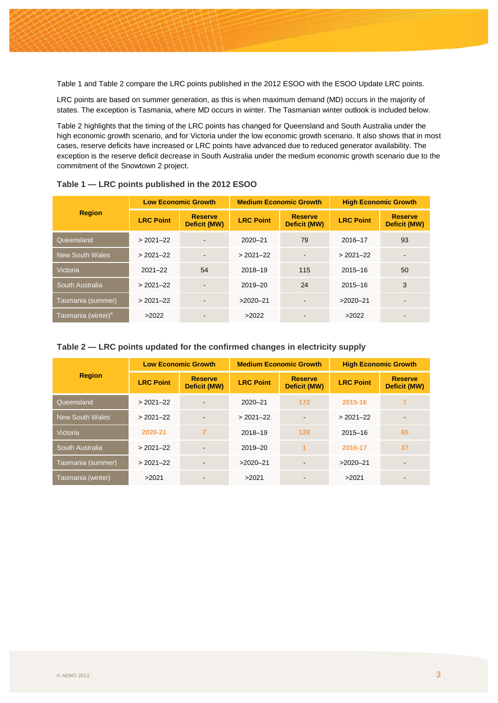[Table 1](#page-2-0) and [Table 2](#page-2-1) compare the LRC points published in the 2012 ESOO with the ESOO Update LRC points.

LRC points are based on summer generation, as this is when maximum demand (MD) occurs in the majority of states. The exception is Tasmania, where MD occurs in winter. The Tasmanian winter outlook is included below.

[Table 2](#page-2-1) highlights that the timing of the LRC points has changed for Queensland and South Australia under the high economic growth scenario, and for Victoria under the low economic growth scenario. It also shows that in most cases, reserve deficits have increased or LRC points have advanced due to reduced generator availability. The exception is the reserve deficit decrease in South Australia under the medium economic growth scenario due to the commitment of the Snowtown 2 project.

| <b>Region</b>                  | <b>Low Economic Growth</b> |                                | <b>Medium Economic Growth</b> |                                | <b>High Economic Growth</b> |                                       |
|--------------------------------|----------------------------|--------------------------------|-------------------------------|--------------------------------|-----------------------------|---------------------------------------|
|                                | <b>LRC Point</b>           | <b>Reserve</b><br>Deficit (MW) | <b>LRC Point</b>              | <b>Reserve</b><br>Deficit (MW) | <b>LRC Point</b>            | <b>Reserve</b><br><b>Deficit (MW)</b> |
| Queensland                     | $>2021-22$                 |                                | $2020 - 21$                   | 79                             | 2016-17                     | 93                                    |
| <b>New South Wales</b>         | $>2021-22$                 |                                | $>2021-22$                    |                                | $>2021-22$                  |                                       |
| Victoria                       | $2021 - 22$                | 54                             | 2018-19                       | 115                            | $2015 - 16$                 | 50                                    |
| South Australia                | $>2021-22$                 | $\blacksquare$                 | 2019-20                       | 24                             | $2015 - 16$                 | 3                                     |
| Tasmania (summer)              | $>2021-22$                 | $\blacksquare$                 | $>2020-21$                    |                                | $>2020-21$                  |                                       |
| Tasmania (winter) <sup>a</sup> | >2022                      |                                | >2022                         |                                | >2022                       |                                       |

<span id="page-2-0"></span>**Table 1 — LRC points published in the 2012 ESOO**

#### <span id="page-2-1"></span>**Table 2 — LRC points updated for the confirmed changes in electricity supply**

| <b>Region</b>          | <b>Low Economic Growth</b> |                                       | <b>Medium Economic Growth</b> |                                | <b>High Economic Growth</b> |                                |
|------------------------|----------------------------|---------------------------------------|-------------------------------|--------------------------------|-----------------------------|--------------------------------|
|                        | <b>LRC Point</b>           | <b>Reserve</b><br><b>Deficit (MW)</b> | <b>LRC Point</b>              | <b>Reserve</b><br>Deficit (MW) | <b>LRC Point</b>            | <b>Reserve</b><br>Deficit (MW) |
| Queensland             | $>2021-22$                 |                                       | 2020-21                       | 172                            | 2015-16                     | 7                              |
| <b>New South Wales</b> | $>2021-22$                 |                                       | $>2021-22$                    |                                | $>2021-22$                  |                                |
| Victoria               | 2020-21                    | $\overline{7}$                        | 2018-19                       | 128                            | $2015 - 16$                 | 65                             |
| South Australia        | $>2021-22$                 |                                       | 2019-20                       | 1                              | 2016-17                     | 37                             |
| Tasmania (summer)      | $>2021-22$                 |                                       | $>2020-21$                    |                                | $>2020-21$                  |                                |
| Tasmania (winter)      | >2021                      |                                       | >2021                         | ۰                              | >2021                       |                                |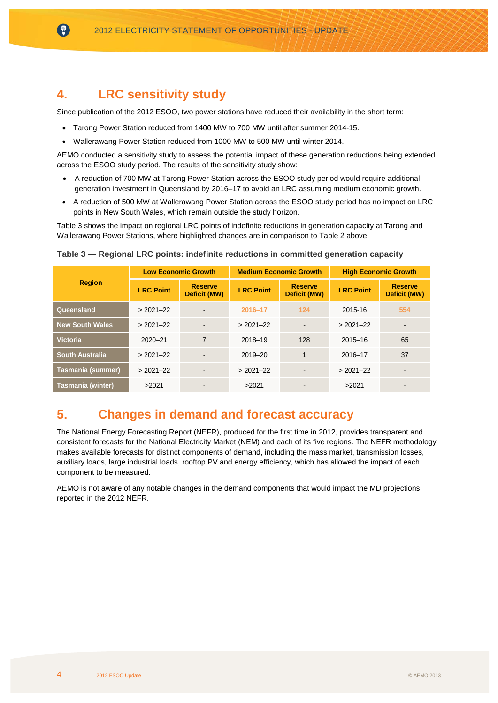## <span id="page-3-0"></span>**4. LRC sensitivity study**

6

Since publication of the 2012 ESOO, two power stations have reduced their availability in the short term:

- Tarong Power Station reduced from 1400 MW to 700 MW until after summer 2014-15.
- Wallerawang Power Station reduced from 1000 MW to 500 MW until winter 2014.

AEMO conducted a sensitivity study to assess the potential impact of these generation reductions being extended across the ESOO study period. The results of the sensitivity study show:

- A reduction of 700 MW at Tarong Power Station across the ESOO study period would require additional generation investment in Queensland by 2016–17 to avoid an LRC assuming medium economic growth.
- A reduction of 500 MW at Wallerawang Power Station across the ESOO study period has no impact on LRC points in New South Wales, which remain outside the study horizon.

[Table 3](#page-3-1) shows the impact on regional LRC points of indefinite reductions in generation capacity at Tarong and Wallerawang Power Stations, where highlighted changes are in comparison t[o Table 2](#page-2-1) above.

| <b>Region</b>            | <b>Low Economic Growth</b> |                                | <b>Medium Economic Growth</b> |                                | <b>High Economic Growth</b> |                                       |
|--------------------------|----------------------------|--------------------------------|-------------------------------|--------------------------------|-----------------------------|---------------------------------------|
|                          | <b>LRC Point</b>           | <b>Reserve</b><br>Deficit (MW) | <b>LRC Point</b>              | <b>Reserve</b><br>Deficit (MW) | <b>LRC Point</b>            | <b>Reserve</b><br><b>Deficit (MW)</b> |
| Queensland               | $>2021-22$                 |                                | 2016-17                       | $124$                          | 2015-16                     | 554                                   |
| <b>New South Wales</b>   | $>2021-22$                 |                                | $>2021-22$                    | $\sim$                         | $>2021-22$                  | $\blacksquare$                        |
| <b>Victoria</b>          | $2020 - 21$                | $\overline{7}$                 | 2018-19                       | 128                            | $2015 - 16$                 | 65                                    |
| <b>South Australia</b>   | $>2021-22$                 |                                | 2019-20                       | 1                              | 2016-17                     | 37                                    |
| <b>Tasmania (summer)</b> | $>2021-22$                 |                                | $>2021-22$                    |                                | $>2021-22$                  |                                       |
| <b>Tasmania (winter)</b> | >2021                      |                                | >2021                         |                                | >2021                       |                                       |

<span id="page-3-1"></span>

| Table 3 — Regional LRC points: indefinite reductions in committed generation capacity |  |  |  |  |  |  |
|---------------------------------------------------------------------------------------|--|--|--|--|--|--|
|---------------------------------------------------------------------------------------|--|--|--|--|--|--|

# **5. Changes in demand and forecast accuracy**

The National Energy Forecasting Report (NEFR), produced for the first time in 2012, provides transparent and consistent forecasts for the National Electricity Market (NEM) and each of its five regions. The NEFR methodology makes available forecasts for distinct components of demand, including the mass market, transmission losses, auxiliary loads, large industrial loads, rooftop PV and energy efficiency, which has allowed the impact of each component to be measured.

AEMO is not aware of any notable changes in the demand components that would impact the MD projections reported in the 2012 NEFR.